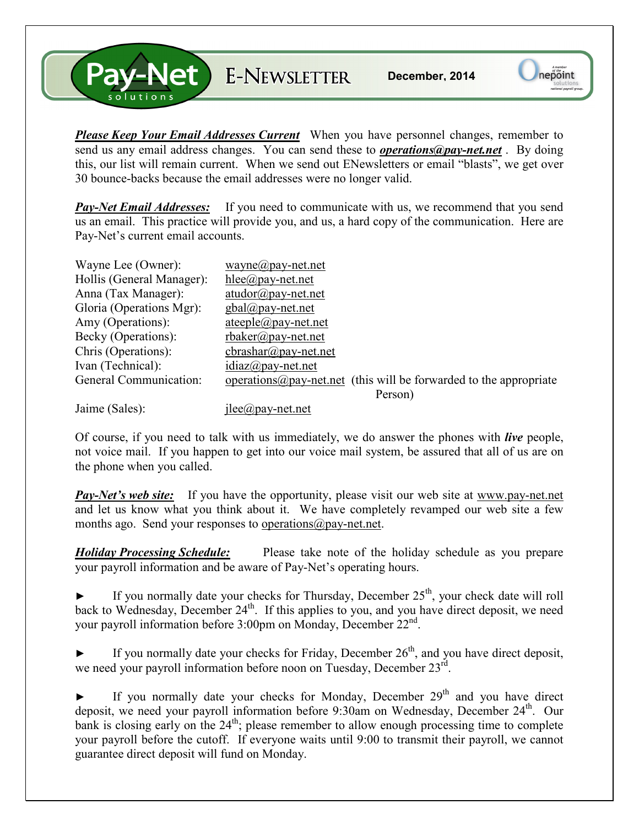**S-Net** E-NEWSLETTER

*Please Keep Your Email Addresses Current* When you have personnel changes, remember to send us any email address changes. You can send these to *operations@pay-net.net* . By doing this, our list will remain current. When we send out ENewsletters or email "blasts", we get over 30 bounce-backs because the email addresses were no longer valid.

*Pay-Net Email Addresses:* If you need to communicate with us, we recommend that you send us an email. This practice will provide you, and us, a hard copy of the communication. Here are Pay-Net's current email accounts.

| Wayne Lee (Owner):        | $wayne(\partial p$ ay-net.net                                              |
|---------------------------|----------------------------------------------------------------------------|
| Hollis (General Manager): | $hlee(\partial p$ ay-net.net                                               |
| Anna (Tax Manager):       | $atudor@pay-net.net$                                                       |
| Gloria (Operations Mgr):  | $gbal(\partial p$ ay-net.net                                               |
| Amy (Operations):         | $ateeple@pay-net.net$                                                      |
| Becky (Operations):       | $r$ baker@pay-net.net                                                      |
| Chris (Operations):       | $\text{c}$ brashar@pay-net.net                                             |
| Ivan (Technical):         | $idiaz(\partial p$ ay-net.net                                              |
| General Communication:    | operations $\omega$ pay-net net (this will be forwarded to the appropriate |
|                           | Person)                                                                    |
| $\mathbf{r}$ $(0, 1)$     | $\sim$                                                                     |

Jaime (Sales): jlee (a) pay-net.net

Of course, if you need to talk with us immediately, we do answer the phones with *live* people, not voice mail. If you happen to get into our voice mail system, be assured that all of us are on the phone when you called.

**Pay-Net's web site:** If you have the opportunity, please visit our web site at www.pay-net.net and let us know what you think about it. We have completely revamped our web site a few months ago. Send your responses to operations  $\omega$  pay-net.net.

*Holiday Processing Schedule:* Please take note of the holiday schedule as you prepare your payroll information and be aware of Pay-Net's operating hours.

If you normally date your checks for Thursday, December  $25<sup>th</sup>$ , your check date will roll back to Wednesday, December 24<sup>th</sup>. If this applies to you, and you have direct deposit, we need your payroll information before 3:00pm on Monday, December 22<sup>nd</sup>.

If you normally date your checks for Friday, December  $26<sup>th</sup>$ , and you have direct deposit, we need your payroll information before noon on Tuesday, December 23rd.

If you normally date your checks for Monday, December  $29<sup>th</sup>$  and you have direct deposit, we need your payroll information before 9:30am on Wednesday, December 24<sup>th</sup>. Our bank is closing early on the  $24<sup>th</sup>$ ; please remember to allow enough processing time to complete your payroll before the cutoff. If everyone waits until 9:00 to transmit their payroll, we cannot guarantee direct deposit will fund on Monday.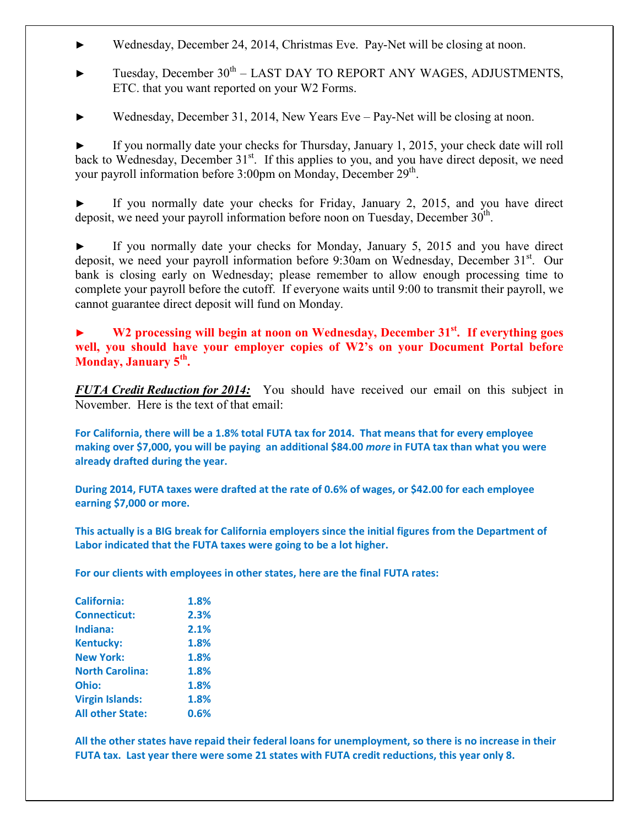- ► Wednesday, December 24, 2014, Christmas Eve. Pay-Net will be closing at noon.
- Tuesday, December 30<sup>th</sup> LAST DAY TO REPORT ANY WAGES, ADJUSTMENTS, ETC. that you want reported on your W2 Forms.
- Wednesday, December 31, 2014, New Years Eve Pay-Net will be closing at noon.

If you normally date your checks for Thursday, January 1, 2015, your check date will roll back to Wednesday, December 31<sup>st</sup>. If this applies to you, and you have direct deposit, we need your payroll information before 3:00pm on Monday, December 29<sup>th</sup>.

If you normally date your checks for Friday, January 2, 2015, and you have direct deposit, we need your payroll information before noon on Tuesday, December  $30<sup>th</sup>$ .

If you normally date your checks for Monday, January 5, 2015 and you have direct deposit, we need your payroll information before 9:30am on Wednesday, December  $31<sup>st</sup>$ . Our bank is closing early on Wednesday; please remember to allow enough processing time to complete your payroll before the cutoff. If everyone waits until 9:00 to transmit their payroll, we cannot guarantee direct deposit will fund on Monday.

**► W2 processing will begin at noon on Wednesday, December 31st. If everything goes well, you should have your employer copies of W2's on your Document Portal before Monday, January 5th .** 

*FUTA Credit Reduction for 2014:* You should have received our email on this subject in November. Here is the text of that email:

**For California, there will be a 1.8% total FUTA tax for 2014. That means that for every employee making over \$7,000, you will be paying an additional \$84.00** *more* **in FUTA tax than what you were already drafted during the year.** 

**During 2014, FUTA taxes were drafted at the rate of 0.6% of wages, or \$42.00 for each employee earning \$7,000 or more.** 

**This actually is a BIG break for California employers since the initial figures from the Department of Labor indicated that the FUTA taxes were going to be a lot higher.** 

**For our clients with employees in other states, here are the final FUTA rates:** 

| 1.8% |
|------|
| 2.3% |
| 2.1% |
| 1.8% |
| 1.8% |
| 1.8% |
| 1.8% |
| 1.8% |
| 0.6% |
|      |

**All the other states have repaid their federal loans for unemployment, so there is no increase in their FUTA tax. Last year there were some 21 states with FUTA credit reductions, this year only 8.**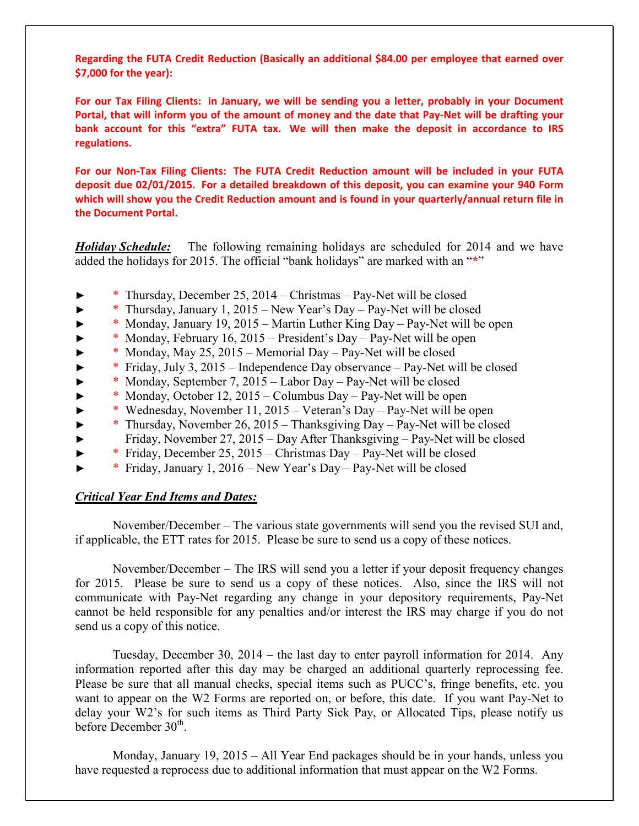**Regarding the FUTA Credit Reduction (Basically an additional \$84.00 per employee that earned over \$7,000 for the year):** 

**For our Tax Filing Clients: in January, we will be sending you a letter, probably in your Document Portal, that will inform you of the amount of money and the date that Pay-Net will be drafting your bank account for this "extra" FUTA tax. We will then make the deposit in accordance to IRS regulations.** 

**For our Non-Tax Filing Clients: The FUTA Credit Reduction amount will be included in your FUTA deposit due 02/01/2015. For a detailed breakdown of this deposit, you can examine your 940 Form which will show you the Credit Reduction amount and is found in your quarterly/annual return file in the Document Portal.** 

*Holiday Schedule:* The following remaining holidays are scheduled for 2014 and we have added the holidays for 2015. The official "bank holidays" are marked with an "**\***"

- ► \* Thursday, December 25, 2014 Christmas Pay-Net will be closed
- ► \* Thursday, January 1, 2015 New Year's Day Pay-Net will be closed
- ► \* Monday, January 19, 2015 Martin Luther King Day Pay-Net will be open
- ► \* Monday, February 16, 2015 President's Day Pay-Net will be open
- \* Monday, May 25, 2015 Memorial Day Pay-Net will be closed
- $*$  Friday, July 3, 2015 Independence Day observance Pay-Net will be closed
- ► \* Monday, September 7, 2015 Labor Day Pay-Net will be closed
- ► \* Monday, October 12, 2015 Columbus Day Pay-Net will be open
- ► \* Wednesday, November 11, 2015 Veteran's Day Pay-Net will be open
- ► \* Thursday, November 26, 2015 Thanksgiving Day Pay-Net will be closed
- ► Friday, November 27, 2015 Day After Thanksgiving Pay-Net will be closed
- ► \* Friday, December 25, 2015 Christmas Day Pay-Net will be closed
- ► \* Friday, January 1, 2016 New Year's Day Pay-Net will be closed

## *Critical Year End Items and Dates:*

 November/December – The various state governments will send you the revised SUI and, if applicable, the ETT rates for 2015. Please be sure to send us a copy of these notices.

 November/December – The IRS will send you a letter if your deposit frequency changes for 2015. Please be sure to send us a copy of these notices. Also, since the IRS will not communicate with Pay-Net regarding any change in your depository requirements, Pay-Net cannot be held responsible for any penalties and/or interest the IRS may charge if you do not send us a copy of this notice.

 Tuesday, December 30, 2014 – the last day to enter payroll information for 2014. Any information reported after this day may be charged an additional quarterly reprocessing fee. Please be sure that all manual checks, special items such as PUCC's, fringe benefits, etc. you want to appear on the W2 Forms are reported on, or before, this date. If you want Pay-Net to delay your W2's for such items as Third Party Sick Pay, or Allocated Tips, please notify us before December 30<sup>th</sup>.

 Monday, January 19, 2015 – All Year End packages should be in your hands, unless you have requested a reprocess due to additional information that must appear on the W2 Forms.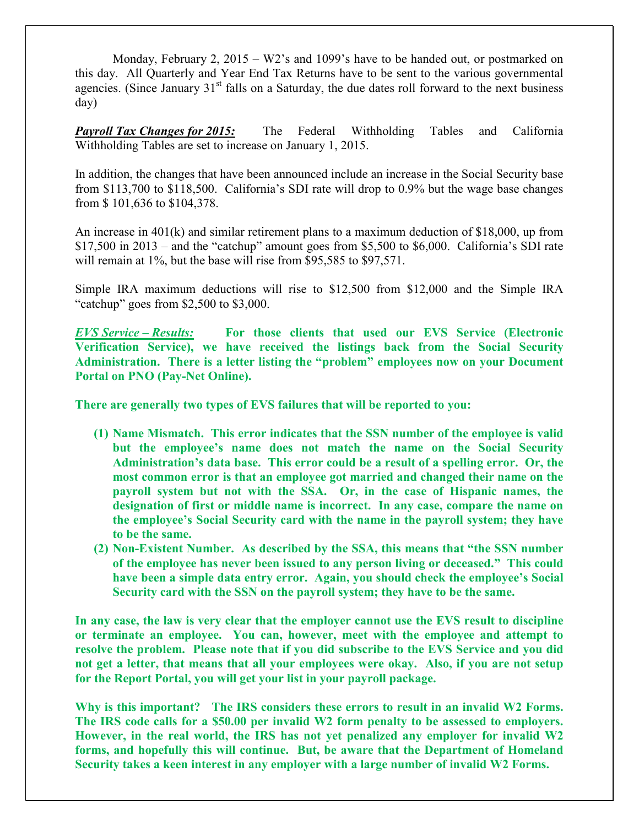Monday, February 2, 2015 – W2's and 1099's have to be handed out, or postmarked on this day. All Quarterly and Year End Tax Returns have to be sent to the various governmental agencies. (Since January  $31<sup>st</sup>$  falls on a Saturday, the due dates roll forward to the next business day)

*Payroll Tax Changes for 2015:* The Federal Withholding Tables and California Withholding Tables are set to increase on January 1, 2015.

In addition, the changes that have been announced include an increase in the Social Security base from \$113,700 to \$118,500. California's SDI rate will drop to 0.9% but the wage base changes from \$ 101,636 to \$104,378.

An increase in 401(k) and similar retirement plans to a maximum deduction of \$18,000, up from  $$17,500$  in 2013 – and the "catchup" amount goes from \$5,500 to \$6,000. California's SDI rate will remain at 1%, but the base will rise from \$95,585 to \$97,571.

Simple IRA maximum deductions will rise to \$12,500 from \$12,000 and the Simple IRA "catchup" goes from \$2,500 to \$3,000.

*EVS Service – Results:* **For those clients that used our EVS Service (Electronic Verification Service), we have received the listings back from the Social Security Administration. There is a letter listing the "problem" employees now on your Document Portal on PNO (Pay-Net Online).** 

**There are generally two types of EVS failures that will be reported to you:** 

- **(1) Name Mismatch. This error indicates that the SSN number of the employee is valid but the employee's name does not match the name on the Social Security Administration's data base. This error could be a result of a spelling error. Or, the most common error is that an employee got married and changed their name on the payroll system but not with the SSA. Or, in the case of Hispanic names, the designation of first or middle name is incorrect. In any case, compare the name on the employee's Social Security card with the name in the payroll system; they have to be the same.**
- **(2) Non-Existent Number. As described by the SSA, this means that "the SSN number of the employee has never been issued to any person living or deceased." This could have been a simple data entry error. Again, you should check the employee's Social Security card with the SSN on the payroll system; they have to be the same.**

**In any case, the law is very clear that the employer cannot use the EVS result to discipline or terminate an employee. You can, however, meet with the employee and attempt to resolve the problem. Please note that if you did subscribe to the EVS Service and you did not get a letter, that means that all your employees were okay. Also, if you are not setup for the Report Portal, you will get your list in your payroll package.** 

**Why is this important? The IRS considers these errors to result in an invalid W2 Forms. The IRS code calls for a \$50.00 per invalid W2 form penalty to be assessed to employers. However, in the real world, the IRS has not yet penalized any employer for invalid W2 forms, and hopefully this will continue. But, be aware that the Department of Homeland Security takes a keen interest in any employer with a large number of invalid W2 Forms.**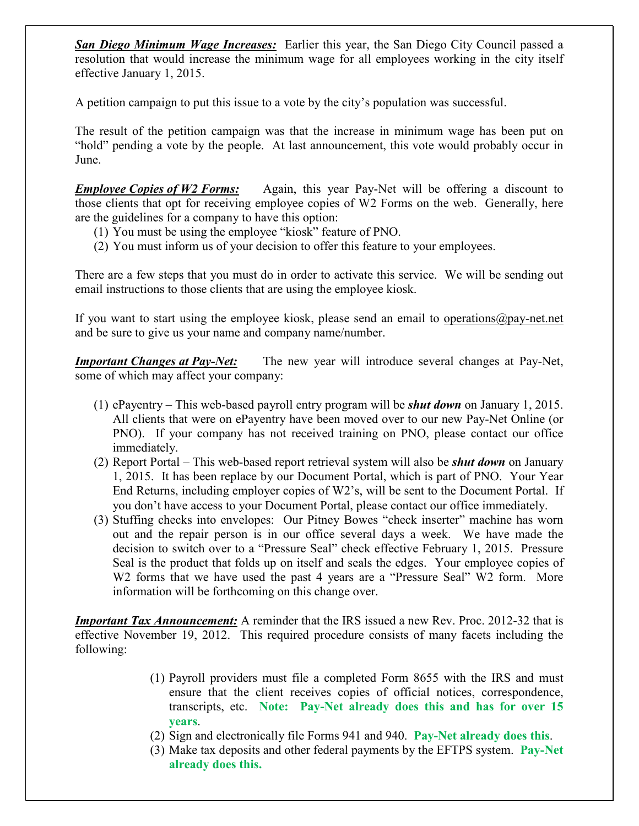*San Diego Minimum Wage Increases:* Earlier this year, the San Diego City Council passed a resolution that would increase the minimum wage for all employees working in the city itself effective January 1, 2015.

A petition campaign to put this issue to a vote by the city's population was successful.

The result of the petition campaign was that the increase in minimum wage has been put on "hold" pending a vote by the people. At last announcement, this vote would probably occur in June.

*Employee Copies of W2 Forms:* Again, this year Pay-Net will be offering a discount to those clients that opt for receiving employee copies of W2 Forms on the web. Generally, here are the guidelines for a company to have this option:

- (1) You must be using the employee "kiosk" feature of PNO.
- (2) You must inform us of your decision to offer this feature to your employees.

There are a few steps that you must do in order to activate this service. We will be sending out email instructions to those clients that are using the employee kiosk.

If you want to start using the employee kiosk, please send an email to operations@pay-net.net and be sure to give us your name and company name/number.

*Important Changes at Pay-Net:* The new year will introduce several changes at Pay-Net, some of which may affect your company:

- (1) ePayentry This web-based payroll entry program will be *shut down* on January 1, 2015. All clients that were on ePayentry have been moved over to our new Pay-Net Online (or PNO). If your company has not received training on PNO, please contact our office immediately.
- (2) Report Portal This web-based report retrieval system will also be *shut down* on January 1, 2015. It has been replace by our Document Portal, which is part of PNO. Your Year End Returns, including employer copies of W2's, will be sent to the Document Portal. If you don't have access to your Document Portal, please contact our office immediately.
- (3) Stuffing checks into envelopes: Our Pitney Bowes "check inserter" machine has worn out and the repair person is in our office several days a week. We have made the decision to switch over to a "Pressure Seal" check effective February 1, 2015. Pressure Seal is the product that folds up on itself and seals the edges. Your employee copies of W<sub>2</sub> forms that we have used the past 4 years are a "Pressure Seal" W<sub>2</sub> form. More information will be forthcoming on this change over.

*Important Tax Announcement:* A reminder that the IRS issued a new Rev. Proc. 2012-32 that is effective November 19, 2012. This required procedure consists of many facets including the following:

- (1) Payroll providers must file a completed Form 8655 with the IRS and must ensure that the client receives copies of official notices, correspondence, transcripts, etc. **Note: Pay-Net already does this and has for over 15 years**.
- (2) Sign and electronically file Forms 941 and 940. **Pay-Net already does this**.
- (3) Make tax deposits and other federal payments by the EFTPS system. **Pay-Net already does this.**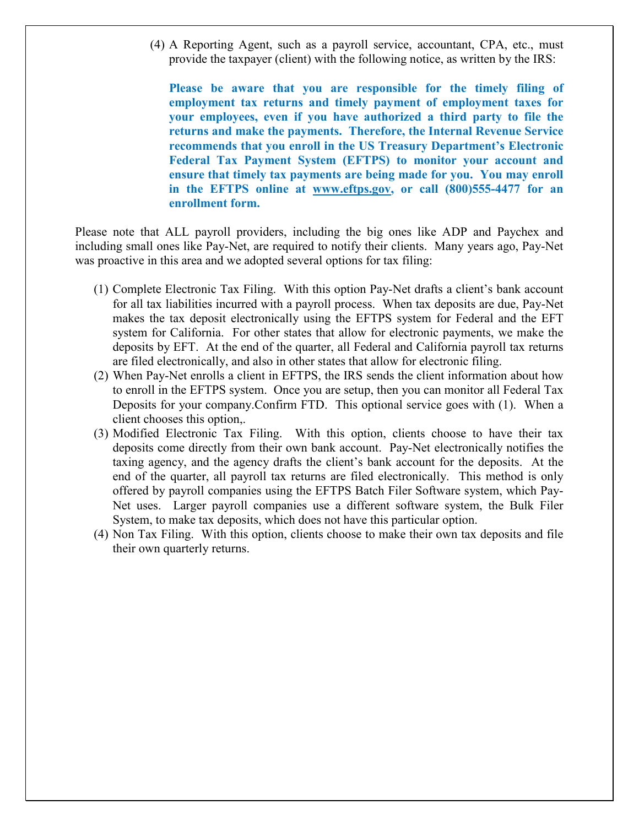(4) A Reporting Agent, such as a payroll service, accountant, CPA, etc., must provide the taxpayer (client) with the following notice, as written by the IRS:

**Please be aware that you are responsible for the timely filing of employment tax returns and timely payment of employment taxes for your employees, even if you have authorized a third party to file the returns and make the payments. Therefore, the Internal Revenue Service recommends that you enroll in the US Treasury Department's Electronic Federal Tax Payment System (EFTPS) to monitor your account and ensure that timely tax payments are being made for you. You may enroll in the EFTPS online at www.eftps.gov, or call (800)555-4477 for an enrollment form.** 

Please note that ALL payroll providers, including the big ones like ADP and Paychex and including small ones like Pay-Net, are required to notify their clients. Many years ago, Pay-Net was proactive in this area and we adopted several options for tax filing:

- (1) Complete Electronic Tax Filing. With this option Pay-Net drafts a client's bank account for all tax liabilities incurred with a payroll process. When tax deposits are due, Pay-Net makes the tax deposit electronically using the EFTPS system for Federal and the EFT system for California. For other states that allow for electronic payments, we make the deposits by EFT. At the end of the quarter, all Federal and California payroll tax returns are filed electronically, and also in other states that allow for electronic filing.
- (2) When Pay-Net enrolls a client in EFTPS, the IRS sends the client information about how to enroll in the EFTPS system. Once you are setup, then you can monitor all Federal Tax Deposits for your company.Confirm FTD. This optional service goes with (1). When a client chooses this option,.
- (3) Modified Electronic Tax Filing. With this option, clients choose to have their tax deposits come directly from their own bank account. Pay-Net electronically notifies the taxing agency, and the agency drafts the client's bank account for the deposits. At the end of the quarter, all payroll tax returns are filed electronically. This method is only offered by payroll companies using the EFTPS Batch Filer Software system, which Pay-Net uses. Larger payroll companies use a different software system, the Bulk Filer System, to make tax deposits, which does not have this particular option.
- (4) Non Tax Filing. With this option, clients choose to make their own tax deposits and file their own quarterly returns.